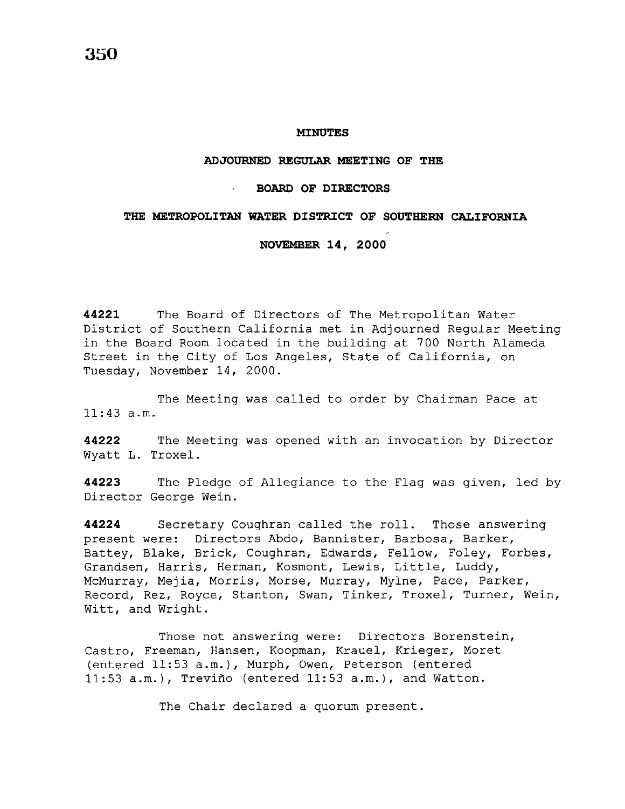#### **MINUTES**

## **ADJOURNED REGULAR MEETING OF THE**

# **BOARD OF DIRECTORS**

#### THE METROPOLITAN WATER DISTRICT OF SOUTHERN CALIFORNIA

### **NOVEMBER 14, 2000**

**44221** The Board of Directors of The Metropolitan Water District of Southern California met in Adjourned Regular Meeting in the Board Room located in the building at 700 North Alameda Street in the City of Los Angeles, State of California, on Tuesday, November 14, 2000.

The Meeting was called to order by Chairman Pace at 11:43 a.m.

**44222** The Meeting was opened with an invocation by Director Wyatt L. Troxel.

**44223** The Pledge of Allegiance to the Flag was given, led by Director George Wein.

**44224** Secretary Coughran called the roll. Those answering present were: Directors Abdo, Bannister, Barbosa, Barker, Battey, Blake, Brick, Coughran, Edwards, Fellow, Foley, Forbes, Grandsen, Harris, Herman, Kosmont, Lewis, Little, Luddy, McMurray, Mejia, Morris, Morse, Murray, Mylne, Pace, Parker, Record, Rez, Royce, Stanton, Swan, Tinker, Troxel, Turner, Wein, Witt, and Wright.

Those not answering were: Directors Borenstein, Castro, Freeman, Hansen, Koopman, Krauel, Krieger, Moret (entered 11:53 a.m.), Murph, Owen, Peterson (entered 11:53 a.m.), Trevino (entered 11:53 a.m.), and Watton.

The Chair declared a quorum present.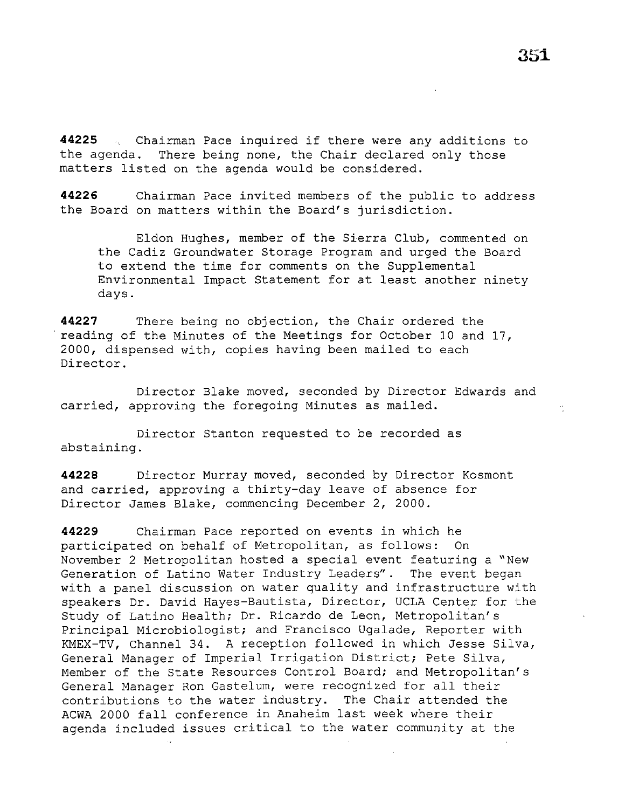$\epsilon\tau$ 

44225  $\ldots$  Chairman Pace inquired if there were any additions to the agenda. There being none, the Chair declared only those matters listed on the agenda would be considered.

**44226** Chairman Pace invited members of the public to address the Board on matters within the Board's jurisdiction.

Eldon Hughes, member of the Sierra Club, commented on the Cadiz Groundwater Storage Program and urged the Board to extend the time for comments on the Supplemental Environmental Impact Statement for at least another ninety days.

**44227** There being no objection, the Chair ordered the reading of the Minutes of the Meetings for October 10 and 17, 2000, dispensed with, copies having been mailed to each Director.

Director Blake moved, seconded by Director Edwards and carried, approving the foregoing Minutes as mailed.

Director Stanton requested to be recorded as abstaining.

**44228** Director Murray moved, seconded by Director Kosmont and carried, approving a thirty-day leave of absence for Director James Blake, commencing December 2, 2000.

**44229** Chairman Pace reported on events in which he participated on behalf of Metropolitan, as follows: On November 2 Metropolitan hosted a special event featuring a "New Generation of Latino Water Industry Leaders". The event began with a panel discussion on water quality and infrastructure with speakers Dr. David Hayes-Bautista, Director, UCLA Center for the Study of Latino Health; Dr. Ricardo de Leon, Metropolitan's Principal Microbiologist; and Francisco Ugalade, Reporter with KMEX-TV, Channel 34. A reception followed in which Jesse Silva, General Manager of Imperial Irrigation District; Pete Silva, Member of the State Resources Control Board; and Metropolitan's General Manager Ron Gastelum, were recognized for all their contributions to the water industry. The Chair attended the ACWA 2000 fall conference in Anaheim last week where their agenda included issues critical to the water community at the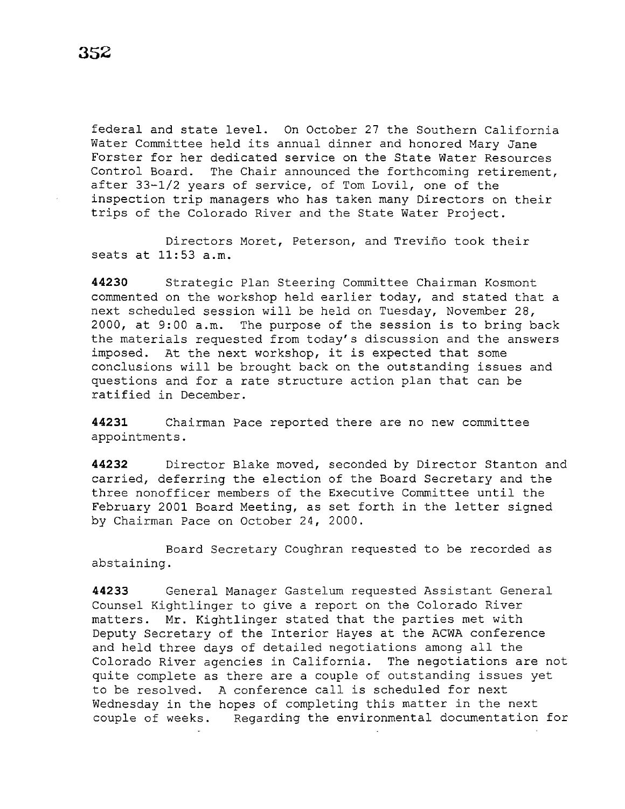federal and state level. On October 27 the Southern California Water Committee held its annual dinner and honored Mary Jane Forster for her dedicated service on the State Water Resources Control Board. The Chair announced the forthcoming retirement, after 33-1/2 years of service, of Tom Lovil, one of the inspection trip managers who has taken many Directors on their trips of the Colorado River and the State Water Project.

Directors Moret, Peterson, and Trevino took their seats at 11:53 a.m.

**44230** Strategic Plan Steering Committee Chairman Kosmont commented on the workshop held earlier today, and stated that a next scheduled session will be held on Tuesday, November 28, 2000, at 9:00 a.m. The purpose of the session is to bring back the materials requested from today's discussion and the answers imposed. At the next workshop, it is expected that some conclusions will be brought back on the outstanding issues and questions and for a rate structure action plan that can be ratified in December.

**44231** Chairman Pace reported there are no new committee appointments.

**44232** Director Blake moved, seconded by Director Stanton and carried, deferring the election of the Board Secretary and the three nonofficer members of the Executive Committee until the February 2001 Board Meeting, as set forth in the letter signed by Chairman Pace on October 24, 2000.

Board Secretary Coughran requested to be recorded as abstaining.

**44233** General Manager Gastelum requested Assistant General Counsel Kightlinger to give a report on the Colorado River matters. Mr. Kightlinger stated that the parties met with Deputy Secretary of the Interior Hayes at the ACWA conference and held three days of detailed negotiations among all the Colorado River agencies in California. The negotiations are not quite complete as there are a couple of outstanding issues yet to be resolved. A conference call is scheduled for next Wednesday in the hopes of completing this matter in the next couple of weeks. Regarding the environmental documentation for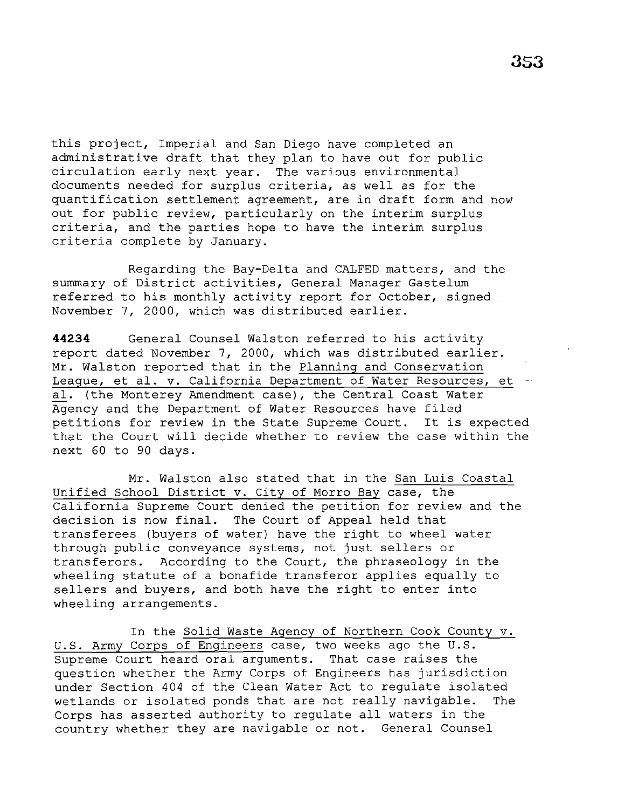this project, Imperial and San Diego have completed an administrative draft that they plan to have out for public circulation early next year. The various environmental documents needed for surplus criteria, as well as for the quantification settlement agreement, are in draft form and now out for public review, particularly on the interim surplus criteria, and the parties hope to have the interim surplus criteria complete by January.

Regarding the Bay-Delta and CALFED matters, and the summary of District activities, General Manager Gastelum referred to his monthly activity report for October, signed November 7, 2000, which was distributed earlier.

**44234** General Counsel Walston referred to his activity report dated November 7, 2000, which was distributed earlier. Mr. Walston reported that in the Planning and Conservation League, et al. v. California Department of Water Resources, et al. (the Monterey Amendment case), the Central Coast Water Agency and the Department of Water Resources have filed petitions for review in the State Supreme Court. It is expected that the Court will decide whether to review the case within the next 60 to 90 days.

Mr. Walston also stated that in the San Luis Coastal Unified School District v. City of Morro Bay case, the California Supreme Court denied the petition for review and the decision is now final. The Court of Appeal held that transferees (buyers of water) have the right to wheel water through public conveyance systems, not just sellers or transferors. According to the Court, the phraseology in the wheeling statute of a bonafide transferor applies equally to sellers and buyers, and both have the right to enter into wheeling arrangements.

In the Solid Waste Agency of Northern Cook County v. U.S. Army Corps of Engineers case, two weeks ago the U.S. Supreme Court heard oral arguments. That case raises the question whether the Army Corps of Engineers has jurisdiction under Section 404 of the Clean Water Act to regulate isolated wetlands or isolated ponds that are not really navigable. The Corps has asserted authority to regulate all waters in the country whether they are navigable or not. General Counsel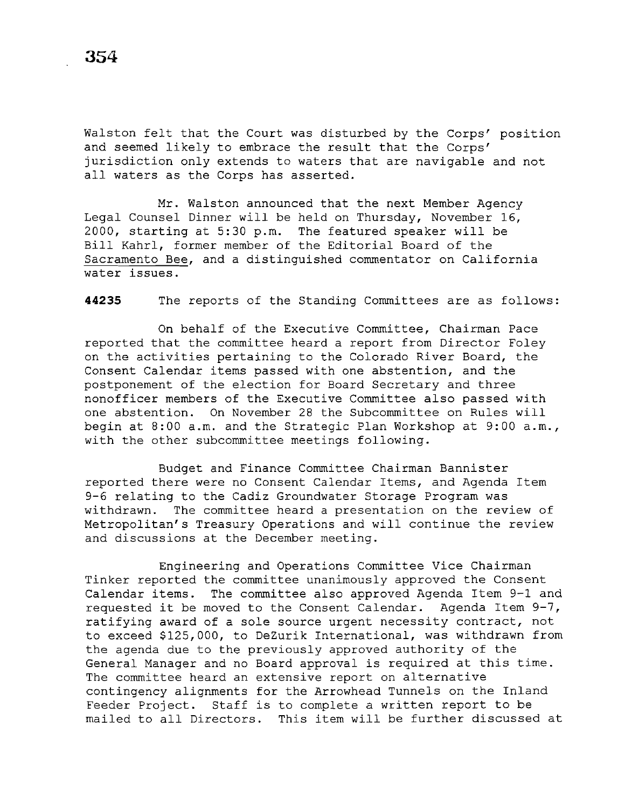Walston felt that the Court was disturbed by the Corps' position and seemed likely to embrace the result that the Corps' jurisdiction only extends to waters that are navigable and not all waters as the Corps has asserted.

Mr. Walston announced that the next Member Agency Legal Counsel Dinner will be held on Thursday, November 16, 2000, starting at 5:30 p.m. The featured speaker will be Bill Kahrl, former member of the Editorial Board of the Sacramento Bee, and a distinguished commentator on California water issues.

**44235** The reports of the Standing Committees are as follows:

On behalf of the Executive Committee, Chairman Pace reported that the committee heard a report from Director Foley on the activities pertaining to the Colorado River Board, the Consent Calendar items passed with one abstention, and the postponement of the election for Board Secretary and three nonofficer members of the Executive Committee also passed with one abstention. On November 28 the Subcommittee on Rules will begin at 8:00 a.m. and the Strategic Plan Workshop at 9:00 a.m., with the other subcommittee meetings following.

Budget and Finance Committee Chairman Bannister reported there were no Consent Calendar Items, and Agenda Item 9-6 relating to the Cadiz Groundwater Storage Program was withdrawn. The committee heard a presentation on the review of Metropolitan's Treasury Operations and will continue the review and discussions at the December meeting.

Engineering and Operations Committee Vice Chairman Tinker reported the committee unanimously approved the Consent Calendar items. The committee also approved Agenda Item 9-1 and requested it be moved to the Consent Calendar. Agenda Item 9-7, ratifying award of a sole source urgent necessity contract, not to exceed \$125,000, to DeZurik International, was withdrawn from the agenda due to the previously approved authority of the General Manager and no Board approval is required at this time. The committee heard an extensive report on alternative contingency alignments for the Arrowhead Tunnels on the Inland Feeder Project. Staff is to complete a written report to be mailed to all Directors. This item will be further discussed at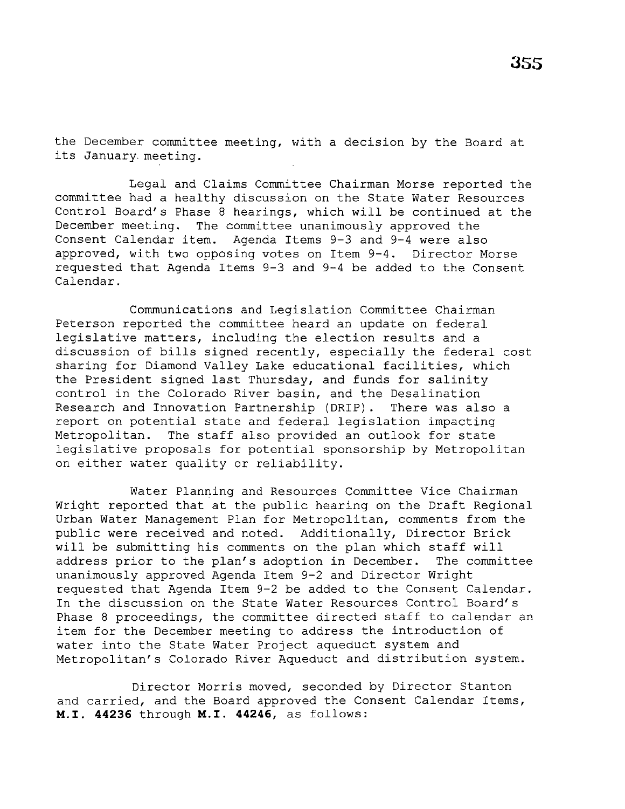the December committee meeting, with a decision by the Board at its January. meeting.

Legal and Claims Committee Chairman Morse reported the committee had a healthy discussion on the State Water Resources Control Board's Phase 8 hearings, which will be continued at the December meeting. The committee unanimously approved the Consent Calendar item. Agenda Items 9-3 and 9-4 were also approved, with two opposing votes on Item 9-4. Director Morse requested that Agenda Items 9-3 and 9-4 be added to the Consent Calendar.

Communications and Legislation Committee Chairman Peterson reported the committee heard an update on federal legislative matters, including the election results and a discussion of bills signed recently, especially the federal cost sharing for Diamond Valley Lake educational facilities, which the President signed last Thursday, and funds for salinity control in the Colorado River basin, and the Desalination Research and Innovation Partnership (DRIP). There was also a report on potential state and federal legislation impacting Metropolitan. The staff also provided an outlook for state legislative proposals for potential sponsorship by Metropolitan on either water quality or reliability.

Water Planning and Resources Committee Vice Chairman Wright reported that at the public hearing on the Draft Regional Urban Water Management Plan for Metropolitan, comments from the public were received and noted. Additionally, Director Brick will be submitting his comments on the plan which staff will address prior to the plan's adoption in December. The committee unanimously approved Agenda Item 9-2 and Director Wright requested that Agenda Item 9-2 be added to the Consent Calendar. In the discussion on the State Water Resources Control Board's Phase 8 proceedings, the committee directed staff to calendar an item for the December meeting to address the introduction of water into the State Water Project aqueduct system and Metropolitan's Colorado River Aqueduct and distribution system.

Director Morris moved, seconded by Director Stanton and carried, and the Board approved the Consent Calendar Items, **M.I. 44236** through **M.I. 44246,** as follows: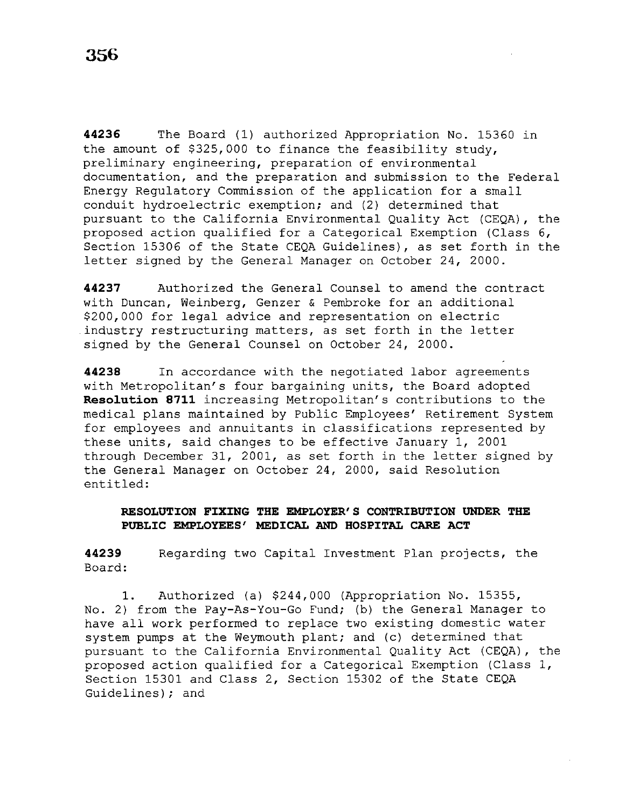**44236** The Board (1) authorized Appropriation No. 15360 in the amount of \$325,000 to finance the feasibility study, preliminary engineering, preparation of environmental documentation, and the preparation and submission to the Federal Energy Regulatory Commission of the application for a small conduit hydroelectric exemption; and (2) determined that pursuant to the California Environmental Quality Act (CEQA), the proposed action qualified for a Categorical Exemption (Class 6, Section 15306 of the State CEQA Guidelines), as set forth in the letter signed by the General Manager on October 24, 2000.

**44237** Authorized the General Counsel to amend the contract with Duncan, Weinberg, Genzer & Pembroke for an additional \$200,000 for legal advice and representation on electric .industry restructuring matters, as set forth in the letter signed by the General Counsel on October 24, 2000.

**44238** In accordance with the negotiated labor agreements with Metropolitan's four bargaining units, the Board adopted **Resolution 8711** increasing Metropolitan's contributions to the medical plans maintained by Public Employees' Retirement System for employees and annuitants in classifications represented by these units, said changes to be effective January 1, 2001 through December 31, 2001, as set forth in the letter signed by the General Manager on October 24, 2000, said Resolution entitled:

# **RESOLUTION FIXING THE EMPLOYER'S CONTRIBUTION UNDER THE PUBLIC EMPLOYEES' MEDICAL AND HOSPITAL CARE ACT**

**44239**  Board: Regarding two Capital Investment Plan projects, the

1. Authorized (a) \$244,000 (Appropriation No. 15355, No. 2) from the Pay-As-You-Go Fund; (b) the General Manager to have all work performed to replace two existing domestic water system pumps at the Weymouth plant; and (c) determined that pursuant to the California Environmental Quality Act (CEQA), the proposed action qualified for a Categorical Exemption (Class 1, Section 15301 and Class 2, Section 15302 of the State CEQA Guidelines); and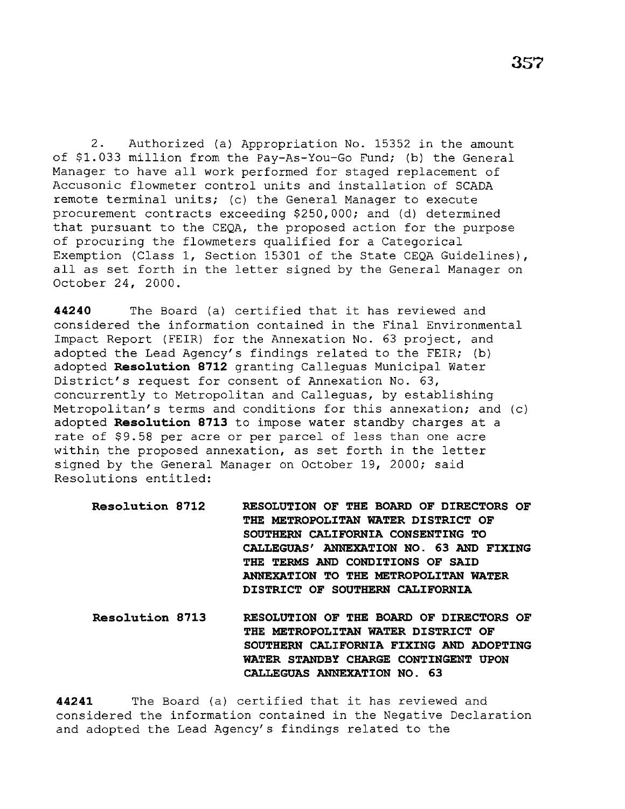2. Authorized (a) Appropriation No. 15352 in the amount of \$1.033 million from the Pay-As-You-Go Fund; (b) the General Manager to have all work performed for staged replacement of Accusonic flowmeter control units and installation of SCADA remote terminal units; (c) the General Manager to execute procurement contracts exceeding \$250,000; and (d) determined that pursuant to the CEQA, the proposed action for the purpose of procuring the flowmeters qualified for a Categorical Exemption (Class 1, Section 15301 of the State CEQA Guidelines), all as set forth in the letter signed by the General Manager on October 24, 2000.

**<sup>44240</sup>**The Board (a) certified that it has reviewed and considered the information contained in the Final Environmental Impact Report (FEIR) for the Annexation No. 63 project, and adopted the Lead Agency's findings related to the FEIR; (b) adopted **Reso1ution 8712** granting Calleguas Municipal Water District's request for consent of Annexation No. 63, concurrently to Metropolitan and Calleguas, by establishing Metropolitan's terms and conditions for this annexation; and (c) adopted **Reso1ution 8713** to impose water standby charges at a rate of \$9.58 per acre or per parcel of less than one acre within the proposed annexation, as set forth in the letter signed by the General Manager on October 19, 2000; said Resolutions entitled:

**Reso1ution 8712 RESOLUTION OF THE BOARD OF DIRECTORS OF THE METROPOLITAN WATER DISTRICT OF SOUTHERN CALIFORNIA CONSENTING TO CALLEGUAS' ANNEXATION NO. 63 AND FIXING THE TERMS AND CONDITIONS OF SAID ANNEXATION TO THE METROPOLITAN WATER DISTRICT OF SOUTHERN CALIFORNIA** 

**Reso1ution 8713 RESOLUTION OF THE BOARD OF DIRECTORS OF THE METROPOLITAN WATER DISTRICT OF SOUTHERN CALIFORNIA FIXING AND ADOPTING WATER STANDBY CHARGE CONTINGENT UPON CALLEGUAS ANNEXATION NO. 63** 

**44241** The Board (a) certified that it has reviewed and considered the information contained in the Negative Declaration and adopted the Lead Agency's findings related to the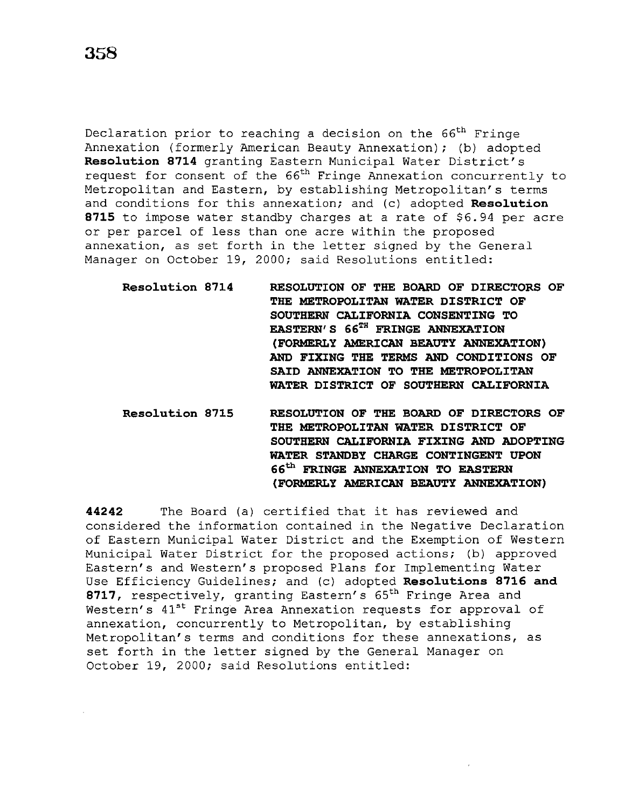Declaration prior to reaching a decision on the 66<sup>th</sup> Fringe Annexation (formerly American Beauty Annexation); (b) adopted **Reso1ution 8714** granting Eastern Municipal Water District's request for consent of the 66<sup>th</sup> Fringe Annexation concurrently to Metropolitan and Eastern, by establishing Metropolitan's terms and conditions for this annexation; and (c) adopted **Resolution 8715** to impose water standby charges at a rate of \$6.94 per acre or per parcel of less than one acre within the proposed annexation, as set forth in the letter signed by the General Manager on October 19, 2000; said Resolutions entitled:

- **Reso1ution 8714 RESOLUTION OF THE BOARD OF DIRECTORS OF THE METROPOLITAN WATER DISTRICT OF SOUTHERN CALIFORNIA CONSENTING TO EASTERN' S 66TH FRINGE ANNEXATION (FORMERLY AMERICAN BEAUTY ANNEXATION) AND FIXING THE TERMS AND CONDITIONS OF SAID ANNEXATION TO THE METROPOLITAN WATER DISTRICT OF SOUTHERN CALIFORNIA**
- **Reso1ution 8715 RESOLUTION OF THE BOARD OF DIRECTORS OF THE METROPOLITAN WATER DISTRICT OF SOUTHERN CALIFORNIA FIXING AND ADOPTING WATER STANDBY CHARGE CONTINGENT UPON 66th FRINGE ANNEXATION TO EASTERN (FORMERLY AMERICAN BEAUTY ANNEXATION)**

**44242**  The Board (a) certified that it has reviewed and considered the information contained in the Negative Declaration of Eastern Municipal Water District and the Exemption of Western Municipal Water District for the proposed actions; (b) approved Eastern's and Western's proposed Plans for Implementing Water Use Efficiency Guidelines; and (c) adopted **Reso1utions 8716 and**  8717, respectively, granting Eastern's 65<sup>th</sup> Fringe Area and Western's  $41^{st}$  Fringe Area Annexation requests for approval of annexation, concurrently to Metropolitan, by establishing Metropolitan's terms and conditions for these annexations, as set forth in the letter signed by the General Manager on October 19, 2000; said Resolutions entitled: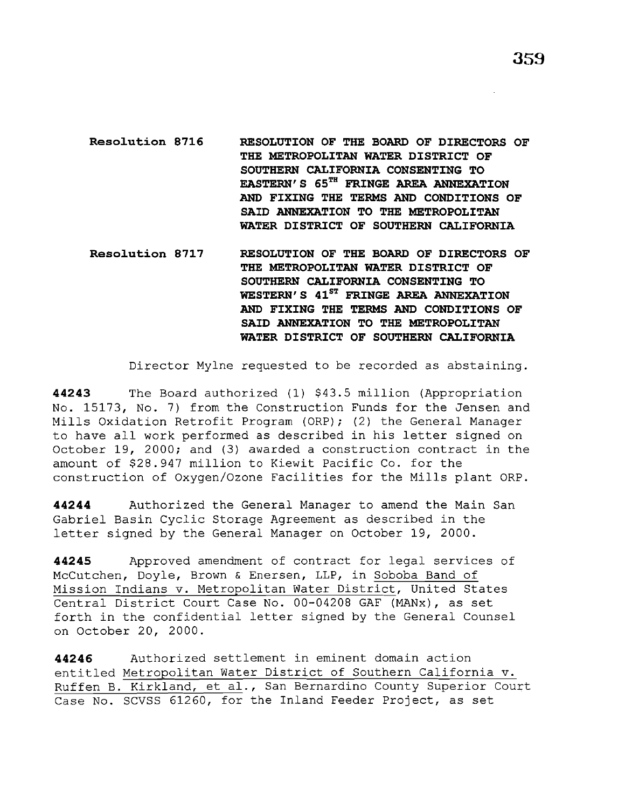**Resolution 8716 RESOLUTION OF THE BOARD OF DIRECTORS OF THE METROPOLITAN WATER DISTRICT OF SOUTHERN CALIFORNIA CONSENTING TO EASTERN'S 65TH FRINGE AREA ANNEXATION AND FIXING THE TERMS AND CONDITIONS OF SAID ANNEXATION TO THE METROPOLITAN WATER DISTRICT OF SOUTHERN CALIFORNIA** 

**Resolution 8717 RESOLUTION OF THE BOARD OF DIRECTORS OF THE METROPOLITAN WATER DISTRICT OF SOUTHERN CALIFORNIA CONSENTING TO**  WESTERN'S 41<sup>ST</sup> FRINGE AREA ANNEXATION **AND FIXING THE TERMS AND CONDITIONS OF SAID ANNEXATION TO THE METROPOLITAN WATER DISTRICT OF SOUTHERN CALIFORNIA** 

Director Mylne requested to be recorded as abstaining.

**44243** The Board authorized (1) \$43.5 million (Appropriation No. 15173, No. 7) from the Construction Funds for the Jensen and Mills Oxidation Retrofit Program (ORP); (2) the General Manager to have all work performed as described in his letter signed on October 19, 2000; and (3) awarded a construction contract in the amount of \$28.947 million to Kiewit Pacific Co. for the construction of Oxygen/Ozone Facilities for the Mills plant ORP.

**44244** Authorized the General Manager to amend the Main San Gabriel Basin Cyclic Storage Agreement as described in the letter signed by the General Manager on October 19, 2000.

**44245** Approved amendment of contract for legal services of McCutchen, Doyle, Brown & Enersen, LLP, in Soboba Band of Mission Indians v. Metropolitan Water District, United States Central District Court Case No. 00-04208 GAF (MANx), as set forth in the confidential letter signed by the General Counsel on October 20, 2000.

**44246** Authorized settlement in eminent domain action entitled Metropolitan Water District of Southern California v. Ruffen B. Kirkland, et al., San Bernardino County Superior Court Case No. SCVSS 61260, for the Inland Feeder Project, as set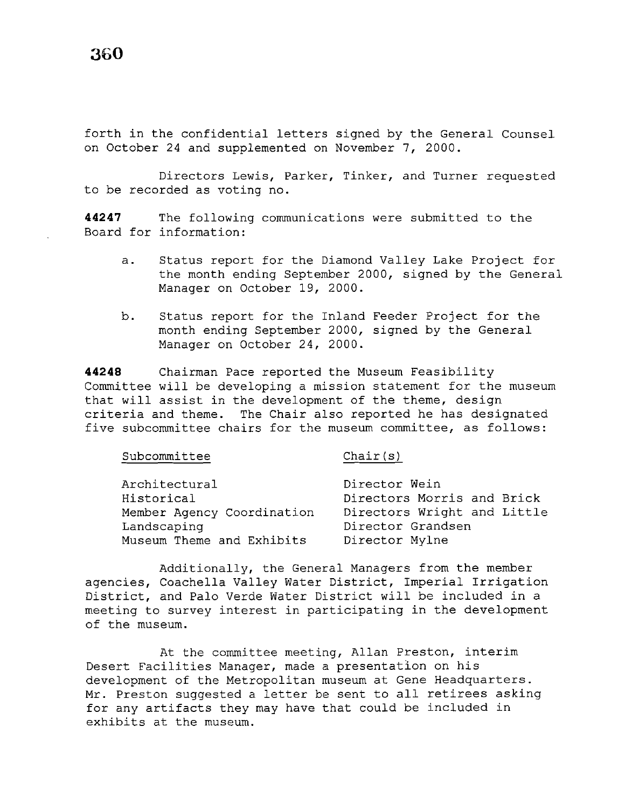forth in the confidential letters signed by the General Counsel on October 24 and supplemented on November 7, 2000.

Directors Lewis, Parker, Tinker, and Turner requested to be recorded as voting no.

**44247** The following communications were submitted to the Board for information:

- a. Status report for the Diamond Valley Lake Project for the month ending September 2000, signed by the General Manager on October 19, 2000.
- b. Status report for the Inland Feeder Project for the month ending September 2000, signed by the General Manager on October 24, 2000.

**44248** Chairman Pace reported the Museum Feasibility Committee will be developing a mission statement for the museum that will assist in the development of the theme, design criteria and theme. The Chair also reported he has designated five subcommittee chairs for the museum committee, as follows:

| Subcommittee                | Chair(s)                                    |
|-----------------------------|---------------------------------------------|
| Architectural<br>Historical | Director Wein<br>Directors Morris and Brick |
| Member Agency Coordination  | Directors Wright and Little                 |
| Landscaping                 | Director Grandsen                           |
| Museum Theme and Exhibits   | Director Mylne                              |

Additionally, the General Managers from the member agencies, Coachella Valley Water District, Imperial Irrigation District, and Palo Verde Water District will be included in a meeting to survey interest in participating in the development of the museum.

At the committee meeting, Allan Preston, interim Desert Facilities Manager, made a presentation on his development of the Metropolitan museum at Gene Headquarters. Mr. Preston suggested a letter be sent to all retirees asking for any artifacts they may have that could be included in exhibits at the museum.